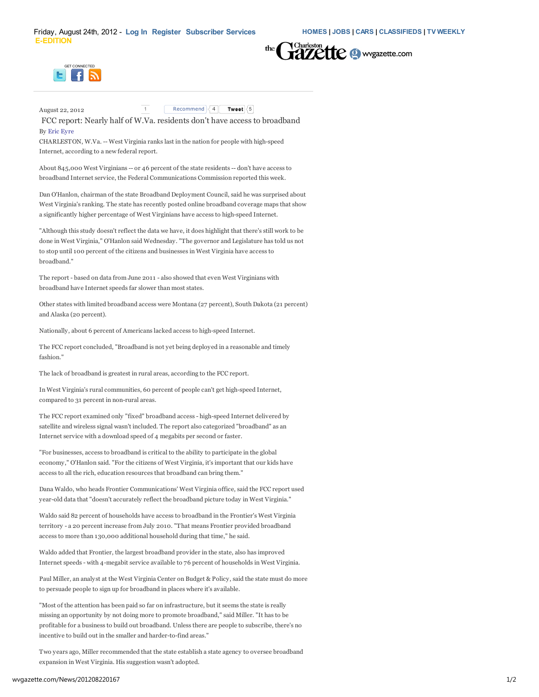



August 22, 2012 1 Recommend  $\sqrt{4}$  Tweet  $\sqrt{5}$ 

FCC report: Nearly half of W.Va. residents don't have access to broadband By Eric Eyre

CHARLESTON, W.Va. -- West Virginia ranks last in the nation for people with high-speed Internet, according to a new federal report.

About 845,000 West Virginians -- or 46 percent of the state residents -- don't have access to broadband Internet service, the Federal Communications Commission reported this week.

Dan O'Hanlon, chairman of the state Broadband Deployment Council, said he was surprised about West Virginia's ranking. The state has recently posted online broadband coverage maps that show a significantly higher percentage of West Virginians have access to high-speed Internet.

"Although this study doesn't reflect the data we have, it does highlight that there's still work to be done in West Virginia," O'Hanlon said Wednesday. "The governor and Legislature has told us not to stop until 100 percent of the citizens and businesses in West Virginia have access to broadband."

The report - based on data from June 2011 - also showed that even West Virginians with broadband have Internet speeds far slower than most states.

Other states with limited broadband access were Montana (27 percent), South Dakota (21 percent) and Alaska (20 percent).

Nationally, about 6 percent of Americans lacked access to high-speed Internet.

The FCC report concluded, "Broadband is not yet being deployed in a reasonable and timely fashion."

The lack of broadband is greatest in rural areas, according to the FCC report.

In West Virginia's rural communities, 60 percent of people can't get high-speed Internet, compared to 31 percent in non-rural areas.

The FCC report examined only "fixed" broadband access - high-speed Internet delivered by satellite and wireless signal wasn't included. The report also categorized "broadband" as an Internet service with a download speed of 4 megabits per second or faster.

"For businesses, access to broadband is critical to the ability to participate in the global economy," O'Hanlon said. "For the citizens of West Virginia, it's important that our kids have access to all the rich, education resources that broadband can bring them."

Dana Waldo, who heads Frontier Communications' West Virginia office, said the FCC report used year-old data that "doesn't accurately reflect the broadband picture today in West Virginia."

Waldo said 82 percent of households have access to broadband in the Frontier's West Virginia territory - a 20 percent increase from July 2010. "That means Frontier provided broadband access to more than 130,000 additional household during that time," he said.

Waldo added that Frontier, the largest broadband provider in the state, also has improved Internet speeds - with 4-megabit service available to 76 percent of households in West Virginia.

Paul Miller, an analyst at the West Virginia Center on Budget & Policy, said the state must do more to persuade people to sign up for broadband in places where it's available.

"Most of the attention has been paid so far on infrastructure, but it seems the state is really missing an opportunity by not doing more to promote broadband," said Miller. "It has to be profitable for a business to build out broadband. Unless there are people to subscribe, there's no incentive to build out in the smaller and harder-to-find areas."

Two years ago, Miller recommended that the state establish a state agency to oversee broadband expansion in West Virginia. His suggestion wasn't adopted.